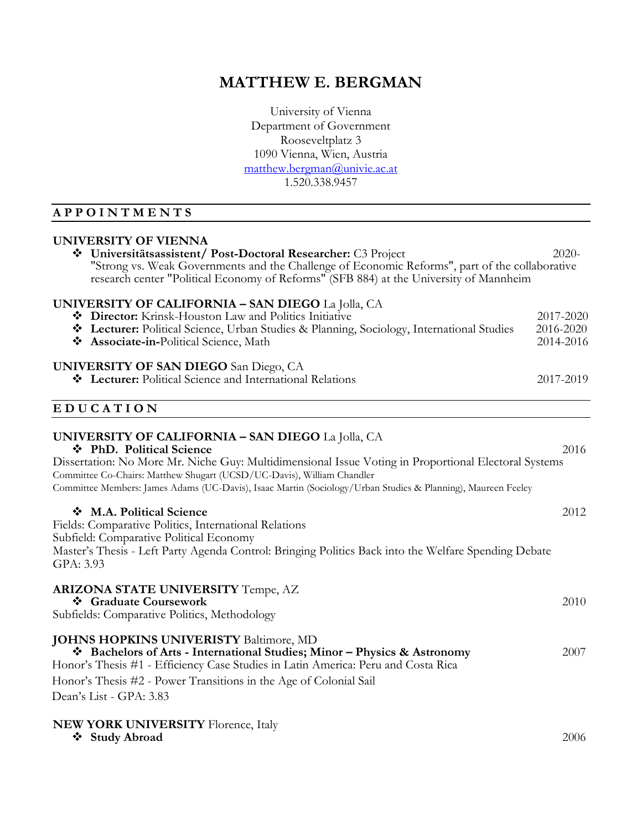# **MATTHEW E. BERGMAN**

University of Vienna Department of Government Rooseveltplatz 3 1090 Vienna, Wien, Austria [matthew.bergman@univie.ac.at](mailto:nocellat@yahoo.com) 1.520.338.9457

## **A P P O I N T M E N T S**

#### **UNIVERSITY OF VIENNA**

| Universitätsassistent/ Post-Doctoral Researcher: C3 Project<br>"Strong vs. Weak Governments and the Challenge of Economic Reforms", part of the collaborative<br>research center "Political Economy of Reforms" (SFB 884) at the University of Mannheim                                                                                                                                |                                     |  |  |
|----------------------------------------------------------------------------------------------------------------------------------------------------------------------------------------------------------------------------------------------------------------------------------------------------------------------------------------------------------------------------------------|-------------------------------------|--|--|
| <b>UNIVERSITY OF CALIFORNIA – SAN DIEGO</b> La Jolla, CA<br>Director: Krinsk-Houston Law and Politics Initiative<br>* Lecturer: Political Science, Urban Studies & Planning, Sociology, International Studies<br>❖ Associate-in-Political Science, Math                                                                                                                                | 2017-2020<br>2016-2020<br>2014-2016 |  |  |
| <b>UNIVERSITY OF SAN DIEGO</b> San Diego, CA<br>* Lecturer: Political Science and International Relations                                                                                                                                                                                                                                                                              | 2017-2019                           |  |  |
| <b>EDUCATION</b>                                                                                                                                                                                                                                                                                                                                                                       |                                     |  |  |
| <b>UNIVERSITY OF CALIFORNIA - SAN DIEGO</b> La Jolla, CA<br>❖ PhD. Political Science<br>Dissertation: No More Mr. Niche Guy: Multidimensional Issue Voting in Proportional Electoral Systems<br>Committee Co-Chairs: Matthew Shugart (UCSD/UC-Davis), William Chandler<br>Committee Members: James Adams (UC-Davis), Isaac Martin (Sociology/Urban Studies & Planning), Maureen Feeley | 2016                                |  |  |
| M.A. Political Science<br>Fields: Comparative Politics, International Relations<br>Subfield: Comparative Political Economy<br>Master's Thesis - Left Party Agenda Control: Bringing Politics Back into the Welfare Spending Debate<br>GPA: 3.93                                                                                                                                        | 2012                                |  |  |
| <b>ARIZONA STATE UNIVERSITY Tempe, AZ</b><br>❖ Graduate Coursework<br>Subfields: Comparative Politics, Methodology                                                                                                                                                                                                                                                                     | 2010                                |  |  |
| <b>JOHNS HOPKINS UNIVERISTY Baltimore, MD</b><br>* Bachelors of Arts - International Studies; Minor - Physics & Astronomy<br>Honor's Thesis #1 - Efficiency Case Studies in Latin America: Peru and Costa Rica<br>Honor's Thesis #2 - Power Transitions in the Age of Colonial Sail<br>Dean's List - GPA: 3.83                                                                         | 2007                                |  |  |

#### **NEW YORK UNIVERSITY** Florence, Italy

❖ **Study Abroad** 2006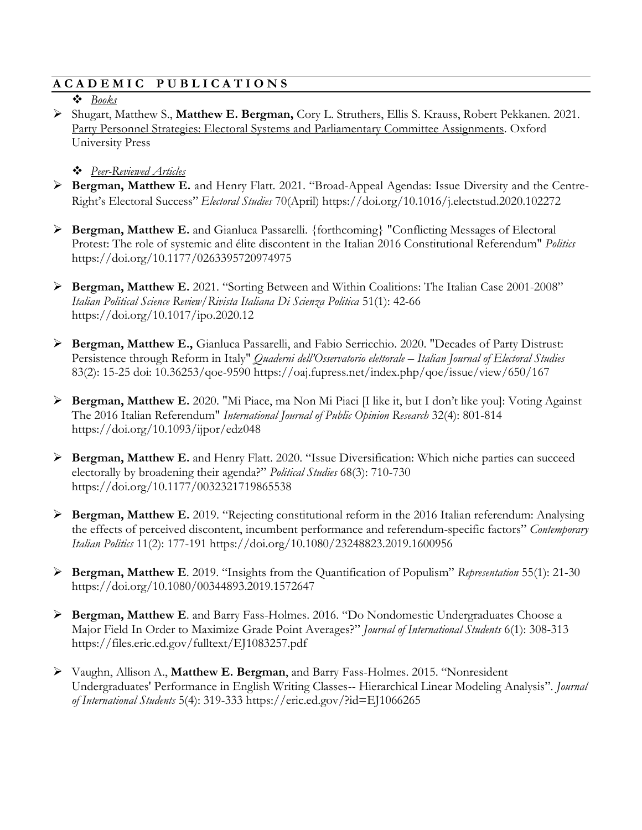### **A C A D E M I C P U B L I C A T I O N S**

#### ❖ *Books*

➢ Shugart, Matthew S., **Matthew E. Bergman,** Cory L. Struthers, Ellis S. Krauss, Robert Pekkanen. 2021. Party Personnel Strategies: Electoral Systems and Parliamentary Committee Assignments. Oxford University Press

### ❖ *Peer-Reviewed Articles*

- ➢ **Bergman, Matthew E.** and Henry Flatt. 2021. "Broad-Appeal Agendas: Issue Diversity and the Centre-Right's Electoral Success" *Electoral Studies* 70(April) https://doi.org/10.1016/j.electstud.2020.102272
- ➢ **Bergman, Matthew E.** and Gianluca Passarelli. {forthcoming} "Conflicting Messages of Electoral Protest: The role of systemic and élite discontent in the Italian 2016 Constitutional Referendum" *Politics* https://doi.org/10.1177/0263395720974975
- ➢ **Bergman, Matthew E.** 2021. "Sorting Between and Within Coalitions: The Italian Case 2001-2008" *Italian Political Science Review/Rivista Italiana Di Scienza Politica* 51(1): 42-66 https://doi.org/10.1017/ipo.2020.12
- ➢ **Bergman, Matthew E.,** Gianluca Passarelli, and Fabio Serricchio. 2020. "Decades of Party Distrust: Persistence through Reform in Italy" *Quaderni dell'Osservatorio elettorale – Italian Journal of Electoral Studies*  83(2): 15-25 doi: 10.36253/qoe-9590 https://oaj.fupress.net/index.php/qoe/issue/view/650/167
- ➢ **Bergman, Matthew E.** 2020. "Mi Piace, ma Non Mi Piaci [I like it, but I don't like you]: Voting Against The 2016 Italian Referendum" *International Journal of Public Opinion Research* 32(4): 801-814 https://doi.org/10.1093/ijpor/edz048
- ➢ **Bergman, Matthew E.** and Henry Flatt. 2020. "Issue Diversification: Which niche parties can succeed electorally by broadening their agenda?" *Political Studies* 68(3): 710-730 https://doi.org/10.1177/0032321719865538
- ➢ **Bergman, Matthew E.** 2019. "Rejecting constitutional reform in the 2016 Italian referendum: Analysing the effects of perceived discontent, incumbent performance and referendum-specific factors" *Contemporary Italian Politics* 11(2): 177-191 https://doi.org/10.1080/23248823.2019.1600956
- ➢ **Bergman, Matthew E**. 2019. "Insights from the Quantification of Populism" *Representation* 55(1): 21-30 https://doi.org/10.1080/00344893.2019.1572647
- ➢ **Bergman, Matthew E**. and Barry Fass-Holmes. 2016. "Do Nondomestic Undergraduates Choose a Major Field In Order to Maximize Grade Point Averages?" *Journal of International Students* 6(1): 308-313 https://files.eric.ed.gov/fulltext/EJ1083257.pdf
- ➢ Vaughn, Allison A., **Matthew E. Bergman**, and Barry Fass-Holmes. 2015. "Nonresident Undergraduates' Performance in English Writing Classes-- Hierarchical Linear Modeling Analysis". *Journal of International Students* 5(4): 319-333 https://eric.ed.gov/?id=EJ1066265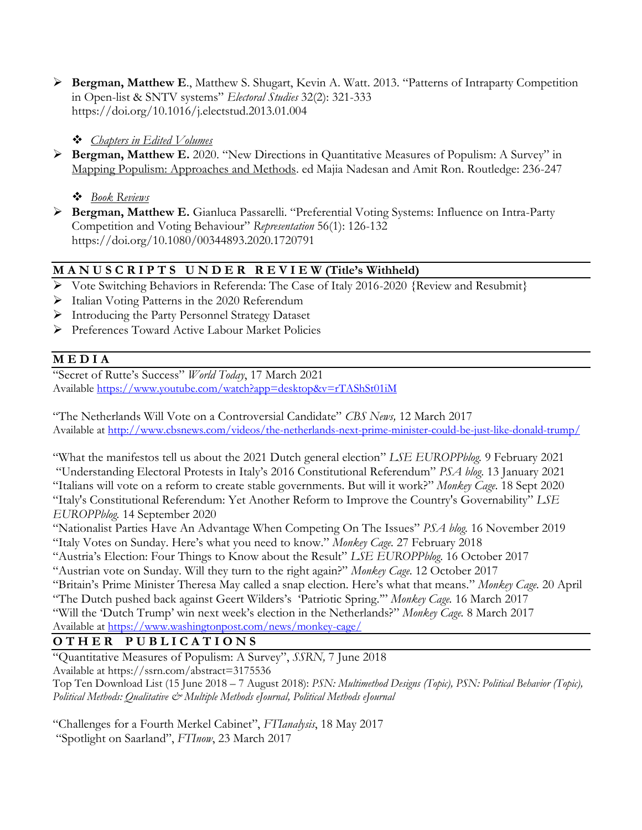➢ **Bergman, Matthew E**., Matthew S. Shugart, Kevin A. Watt. 2013. "Patterns of Intraparty Competition in Open-list & SNTV systems" *Electoral Studies* 32(2): 321-333 https://doi.org/10.1016/j.electstud.2013.01.004

### ❖ *Chapters in Edited Volumes*

➢ **Bergman, Matthew E.** 2020. "New Directions in Quantitative Measures of Populism: A Survey" in Mapping Populism: Approaches and Methods. ed Majia Nadesan and Amit Ron. Routledge: 236-247

❖ *Book Reviews*

➢ **Bergman, Matthew E.** Gianluca Passarelli. "Preferential Voting Systems: Influence on Intra-Party Competition and Voting Behaviour" *Representation* 56(1): 126-132 https://doi.org/10.1080/00344893.2020.1720791

## **M A N U S C R I P T S U N D E R R E V I E W (Title's Withheld)**

- ➢ Vote Switching Behaviors in Referenda: The Case of Italy 2016-2020 {Review and Resubmit}
- ➢ Italian Voting Patterns in the 2020 Referendum
- ➢ Introducing the Party Personnel Strategy Dataset
- ➢ Preferences Toward Active Labour Market Policies

## **M E D I A**

"Secret of Rutte's Success" *World Today*, 17 March 2021 Available<https://www.youtube.com/watch?app=desktop&v=rTAShSt01iM>

"The Netherlands Will Vote on a Controversial Candidate" *CBS News,* 12 March 2017 Available at<http://www.cbsnews.com/videos/the-netherlands-next-prime-minister-could-be-just-like-donald-trump/>

"What the manifestos tell us about the 2021 Dutch general election" *LSE EUROPPblog.* 9 February 2021 "Understanding Electoral Protests in Italy's 2016 Constitutional Referendum" *PSA blog*. 13 January 2021 "Italians will vote on a reform to create stable governments. But will it work?" *Monkey Cage*. 18 Sept 2020 "Italy's Constitutional Referendum: Yet Another Reform to Improve the Country's Governability" *LSE EUROPPblog.* 14 September 2020

"Nationalist Parties Have An Advantage When Competing On The Issues" *PSA blog.* 16 November 2019 "Italy Votes on Sunday. Here's what you need to know." *Monkey Cage.* 27 February 2018

"Austria's Election: Four Things to Know about the Result" *LSE EUROPPblog*. 16 October 2017

"Austrian vote on Sunday. Will they turn to the right again?" *Monkey Cage*. 12 October 2017

"Britain's Prime Minister Theresa May called a snap election. Here's what that means." *Monkey Cage.* 20 April

"The Dutch pushed back against Geert Wilders's 'Patriotic Spring.'" *Monkey Cage.* 16 March 2017

"Will the 'Dutch Trump' win next week's election in the Netherlands?" *Monkey Cage.* 8 March 2017 Available at<https://www.washingtonpost.com/news/monkey-cage/>

## **O T H E R P U B L I C A T I O N S**

"Quantitative Measures of Populism: A Survey", *SSRN,* 7 June 2018 Available at https://ssrn.com/abstract=3175536 Top Ten Download List (15 June 2018 – 7 August 2018): *PSN: Multimethod Designs (Topic), PSN: Political Behavior (Topic), Political Methods: Qualitative & Multiple Methods eJournal, Political Methods eJournal*

"Challenges for a Fourth Merkel Cabinet", *FTIanalysis*, 18 May 2017 "Spotlight on Saarland", *FTInow*, 23 March 2017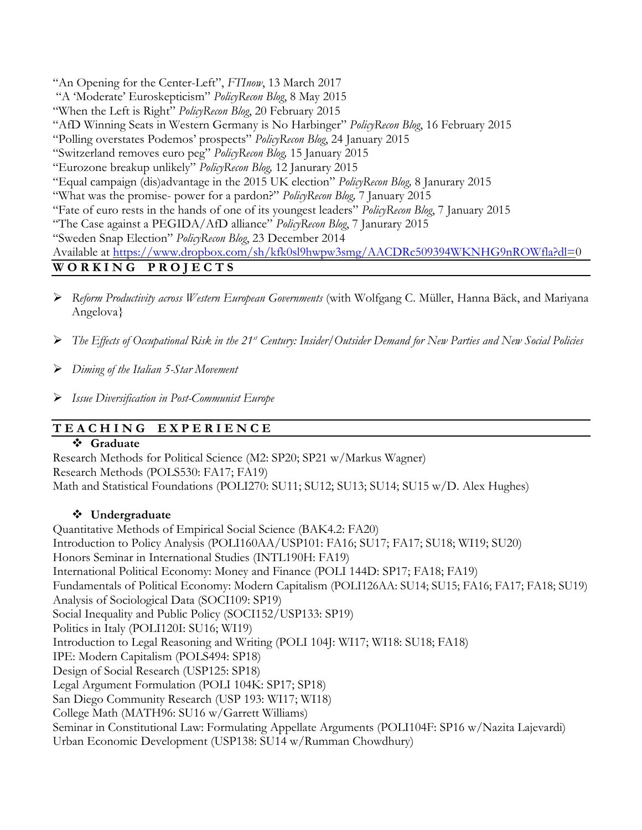"An Opening for the Center-Left", *FTInow*, 13 March 2017

"A 'Moderate' Euroskepticism" *PolicyRecon Blog*, 8 May 2015

"When the Left is Right" *PolicyRecon Blog*, 20 February 2015

"AfD Winning Seats in Western Germany is No Harbinger" *PolicyRecon Blog*, 16 February 2015

"Polling overstates Podemos' prospects" *PolicyRecon Blog*, 24 January 2015

"Switzerland removes euro peg" *PolicyRecon Blog,* 15 January 2015

"Eurozone breakup unlikely" *PolicyRecon Blog,* 12 Janurary 2015

"Equal campaign (dis)advantage in the 2015 UK election" *PolicyRecon Blog,* 8 Janurary 2015

"What was the promise- power for a pardon?" *PolicyRecon Blog,* 7 January 2015

"Fate of euro rests in the hands of one of its youngest leaders" *PolicyRecon Blog*, 7 January 2015

"The Case against a PEGIDA/AfD alliance" *PolicyRecon Blog*, 7 Janurary 2015

"Sweden Snap Election" *PolicyRecon Blog*, 23 December 2014

Available at [https://www.dropbox.com/sh/kfk0sl9hwpw3smg/AACDRc509394WKNHG9nROWfla?dl=0](https://www.dropbox.com/sh/kfk0sl9hwpw3smg/AACDRc509394WKNHG9nROWfla?dl=)

## **W O R K I N G P R O J E C T S**

- ➢ *Reform Productivity across Western European Governments* (with Wolfgang C. Müller, Hanna Bäck, and Mariyana Angelova}
- ➢ *The Effects of Occupational Risk in the 21st Century: Insider/Outsider Demand for New Parties and New Social Policies*
- ➢ *Diming of the Italian 5-Star Movement*

➢ *Issue Diversification in Post-Communist Europe*

## **T E A C H I N G E X P E R I E N C E**

### ❖ **Graduate**

Research Methods for Political Science (M2: SP20; SP21 w/Markus Wagner) Research Methods (POLS530: FA17; FA19) Math and Statistical Foundations (POLI270: SU11; SU12; SU13; SU14; SU15 w/D. Alex Hughes)

### ❖ **Undergraduate**

Quantitative Methods of Empirical Social Science (BAK4.2: FA20) Introduction to Policy Analysis (POLI160AA/USP101: FA16; SU17; FA17; SU18; WI19; SU20) Honors Seminar in International Studies (INTL190H: FA19) International Political Economy: Money and Finance (POLI 144D: SP17; FA18; FA19) Fundamentals of Political Economy: Modern Capitalism (POLI126AA: SU14; SU15; FA16; FA17; FA18; SU19) Analysis of Sociological Data (SOCI109: SP19) Social Inequality and Public Policy (SOCI152/USP133: SP19) Politics in Italy (POLI120I: SU16; WI19) Introduction to Legal Reasoning and Writing (POLI 104J: WI17; WI18: SU18; FA18) IPE: Modern Capitalism (POLS494: SP18) Design of Social Research (USP125: SP18) Legal Argument Formulation (POLI 104K: SP17; SP18) San Diego Community Research (USP 193: WI17; WI18) College Math (MATH96: SU16 w/Garrett Williams) Seminar in Constitutional Law: Formulating Appellate Arguments (POLI104F: SP16 w/Nazita Lajevardi) Urban Economic Development (USP138: SU14 w/Rumman Chowdhury)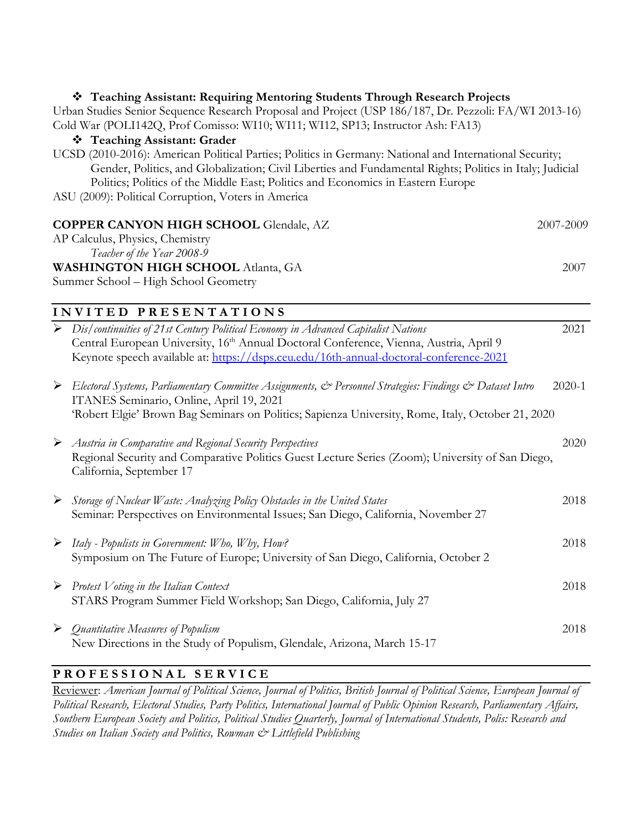## ❖ **Teaching Assistant: Requiring Mentoring Students Through Research Projects** Urban Studies Senior Sequence Research Proposal and Project (USP 186/187, Dr. Pezzoli: FA/WI 2013-16) Cold War (POLI142Q, Prof Comisso: WI10; WI11; WI12, SP13; Instructor Ash: FA13) ❖ **Teaching Assistant: Grader** UCSD (2010-2016): American Political Parties; Politics in Germany: National and International Security; Gender, Politics, and Globalization; Civil Liberties and Fundamental Rights; Politics in Italy; Judicial Politics; Politics of the Middle East; Politics and Economics in Eastern Europe ASU (2009): Political Corruption, Voters in America **COPPER CANYON HIGH SCHOOL** Glendale, AZ 2007-2009 AP Calculus, Physics, Chemistry *Teacher of the Year 2008-9* **WASHINGTON HIGH SCHOOL** Atlanta, GA 2007 Summer School – High School Geometry **I N V I T E D P R E S E N T A T I O N S** ➢ *Dis/continuities of 21st Century Political Economy in Advanced Capitalist Nations* 2021 Central European University, 16<sup>th</sup> Annual Doctoral Conference, Vienna, Austria, April 9 Keynote speech available at:<https://dsps.ceu.edu/16th-annual-doctoral-conference-2021> ➢ *Electoral Systems, Parliamentary Committee Assignments, & Personnel Strategies: Findings & Dataset Intro* 2020-1 ITANES Seminario, Online, April 19, 2021 'Robert Elgie' Brown Bag Seminars on Politics; Sapienza University, Rome, Italy, October 21, 2020 ➢ *Austria in Comparative and Regional Security Perspectives* 2020 Regional Security and Comparative Politics Guest Lecture Series (Zoom); University of San Diego, California, September 17 ➢ *Storage of Nuclear Waste: Analyzing Policy Obstacles in the United States* 2018 Seminar: Perspectives on Environmental Issues; San Diego, California, November 27

- ➢ *Italy - Populists in Government: Who, Why, How?* 2018 Symposium on The Future of Europe; University of San Diego, California, October 2
- ➢ *Protest Voting in the Italian Context* 2018 STARS Program Summer Field Workshop; San Diego, California, July 27
- ➢ *Quantitative Measures of Populism* 2018 New Directions in the Study of Populism, Glendale, Arizona, March 15-17

## **P R O F E S S I O N A L S E R V I C E**

Reviewer: *American Journal of Political Science, Journal of Politics, British Journal of Political Science, European Journal of Political Research, Electoral Studies, Party Politics, International Journal of Public Opinion Research, Parliamentary Affairs, Southern European Society and Politics, Political Studies Quarterly, Journal of International Students, Polis: Research and Studies on Italian Society and Politics, Rowman & Littlefield Publishing*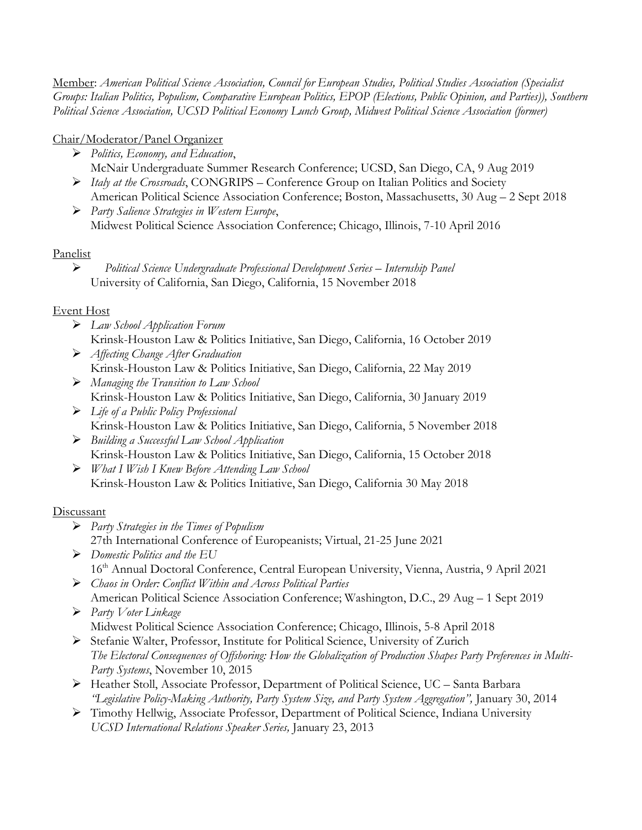Member: *American Political Science Association, Council for European Studies, Political Studies Association (Specialist Groups: Italian Politics, Populism, Comparative European Politics, EPOP (Elections, Public Opinion, and Parties)), Southern Political Science Association, UCSD Political Economy Lunch Group, Midwest Political Science Association (former)*

## Chair/Moderator/Panel Organizer

- ➢ *Politics, Economy, and Education*, McNair Undergraduate Summer Research Conference; UCSD, San Diego, CA, 9 Aug 2019
- ➢ *Italy at the Crossroads*, CONGRIPS Conference Group on Italian Politics and Society American Political Science Association Conference; Boston, Massachusetts, 30 Aug – 2 Sept 2018
- ➢ *Party Salience Strategies in Western Europe*, Midwest Political Science Association Conference; Chicago, Illinois, 7-10 April 2016

### Panelist

➢ *Political Science Undergraduate Professional Development Series – Internship Panel* University of California, San Diego, California, 15 November 2018

## Event Host

- ➢ *Law School Application Forum* Krinsk-Houston Law & Politics Initiative, San Diego, California, 16 October 2019
- ➢ *Affecting Change After Graduation* Krinsk-Houston Law & Politics Initiative, San Diego, California, 22 May 2019
- ➢ *Managing the Transition to Law School* Krinsk-Houston Law & Politics Initiative, San Diego, California, 30 January 2019
- ➢ *Life of a Public Policy Professional*  Krinsk-Houston Law & Politics Initiative, San Diego, California, 5 November 2018
- ➢ *Building a Successful Law School Application*  Krinsk-Houston Law & Politics Initiative, San Diego, California, 15 October 2018
- ➢ *What I Wish I Knew Before Attending Law School*  Krinsk-Houston Law & Politics Initiative, San Diego, California 30 May 2018

## Discussant

- ➢ *Party Strategies in the Times of Populism* 27th International Conference of Europeanists; Virtual, 21-25 June 2021
- ➢ *Domestic Politics and the EU* 16th Annual Doctoral Conference, Central European University, Vienna, Austria, 9 April 2021
- ➢ *Chaos in Order: Conflict Within and Across Political Parties* American Political Science Association Conference; Washington, D.C., 29 Aug – 1 Sept 2019
- ➢ *Party Voter Linkage* Midwest Political Science Association Conference; Chicago, Illinois, 5-8 April 2018
- ➢ Stefanie Walter, Professor, Institute for Political Science, University of Zurich *The Electoral Consequences of Offshoring: How the Globalization of Production Shapes Party Preferences in Multi-Party Systems*, November 10, 2015
- ➢ Heather Stoll, Associate Professor, Department of Political Science, UC Santa Barbara *"Legislative Policy-Making Authority, Party System Size, and Party System Aggregation",* January 30, 2014
- ➢ Timothy Hellwig, Associate Professor, Department of Political Science, Indiana University *UCSD International Relations Speaker Series,* January 23, 2013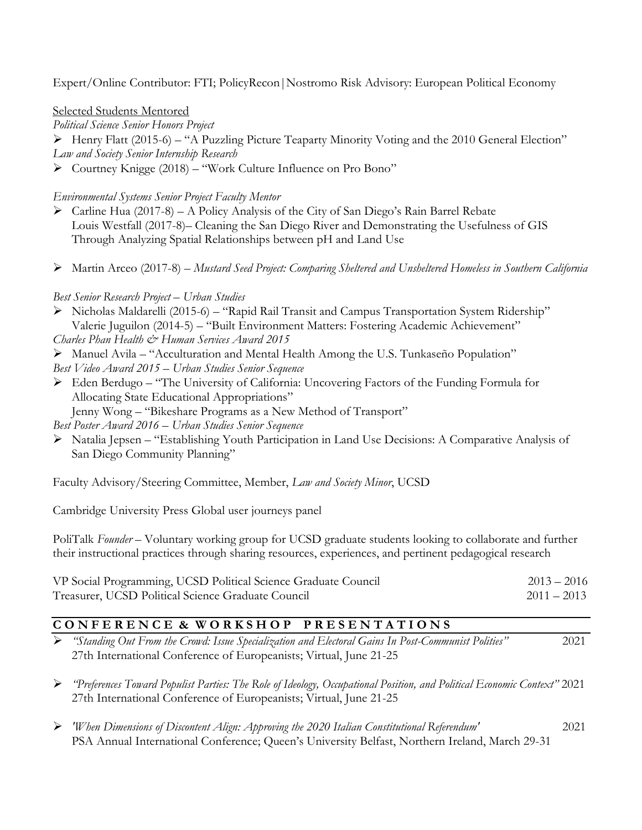Expert/Online Contributor: FTI; PolicyRecon|Nostromo Risk Advisory: European Political Economy

Selected Students Mentored

*Political Science Senior Honors Project*

➢ Henry Flatt (2015-6) – "A Puzzling Picture Teaparty Minority Voting and the 2010 General Election" *Law and Society Senior Internship Research*

➢ Courtney Knigge (2018) – "Work Culture Influence on Pro Bono"

#### *Environmental Systems Senior Project Faculty Mentor*

➢ Carline Hua (2017-8) – A Policy Analysis of the City of San Diego's Rain Barrel Rebate Louis Westfall (2017-8)– Cleaning the San Diego River and Demonstrating the Usefulness of GIS Through Analyzing Spatial Relationships between pH and Land Use

➢ Martin Arceo (2017-8) – *Mustard Seed Project: Comparing Sheltered and Unsheltered Homeless in Southern California*

### *Best Senior Research Project – Urban Studies*

- ➢ Nicholas Maldarelli (2015-6) "Rapid Rail Transit and Campus Transportation System Ridership" Valerie Juguilon (2014-5) – "Built Environment Matters: Fostering Academic Achievement" *Charles Phan Health & Human Services Award 2015*
- ➢ Manuel Avila "Acculturation and Mental Health Among the U.S. Tunkaseño Population" *Best Video Award 2015 – Urban Studies Senior Sequence*
- ➢ Eden Berdugo "The University of California: Uncovering Factors of the Funding Formula for Allocating State Educational Appropriations"

Jenny Wong – "Bikeshare Programs as a New Method of Transport"

*Best Poster Award 2016* – *Urban Studies Senior Sequence*

➢ Natalia Jepsen – "Establishing Youth Participation in Land Use Decisions: A Comparative Analysis of San Diego Community Planning"

Faculty Advisory/Steering Committee, Member, *Law and Society Minor*, UCSD

Cambridge University Press Global user journeys panel

PoliTalk *Founder* – Voluntary working group for UCSD graduate students looking to collaborate and further their instructional practices through sharing resources, experiences, and pertinent pedagogical research

| VP Social Programming, UCSD Political Science Graduate Council | $2013 - 2016$ |
|----------------------------------------------------------------|---------------|
| Treasurer, UCSD Political Science Graduate Council             | $2011 - 2013$ |

## **C O N F E R E N C E & W O R K S H O P P R E S E N T A T I O N S**

➢ *"Standing Out From the Crowd: Issue Specialization and Electoral Gains In Post-Communist Polities"* 2021 27th International Conference of Europeanists; Virtual, June 21-25

➢ *"Preferences Toward Populist Parties: The Role of Ideology, Occupational Position, and Political Economic Context"* 2021 27th International Conference of Europeanists; Virtual, June 21-25

➢ *'When Dimensions of Discontent Align: Approving the 2020 Italian Constitutional Referendum'* 2021 PSA Annual International Conference; Queen's University Belfast, Northern Ireland, March 29-31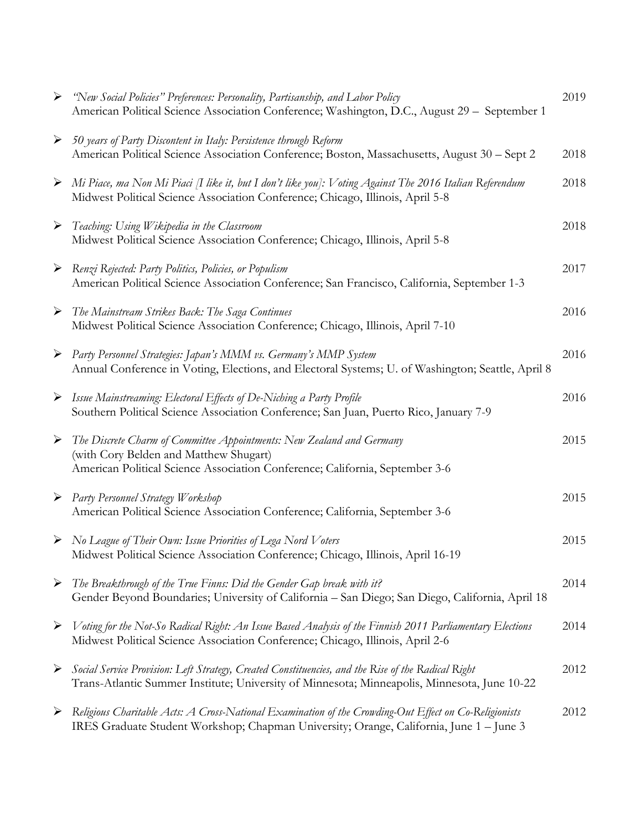| ➤                     | "New Social Policies" Preferences: Personality, Partisanship, and Labor Policy<br>American Political Science Association Conference; Washington, D.C., August 29 - September 1                             | 2019 |
|-----------------------|------------------------------------------------------------------------------------------------------------------------------------------------------------------------------------------------------------|------|
|                       | $\triangleright$ 50 years of Party Discontent in Italy: Persistence through Reform<br>American Political Science Association Conference; Boston, Massachusetts, August 30 - Sept 2                         | 2018 |
|                       | $\triangleright$ Mi Piace, ma Non Mi Piaci [I like it, but I don't like you]: Voting Against The 2016 Italian Referendum<br>Midwest Political Science Association Conference; Chicago, Illinois, April 5-8 | 2018 |
|                       | Feaching: Using Wikipedia in the Classroom<br>Midwest Political Science Association Conference; Chicago, Illinois, April 5-8                                                                               | 2018 |
|                       | > Renzi Rejected: Party Politics, Policies, or Populism<br>American Political Science Association Conference; San Francisco, California, September 1-3                                                     | 2017 |
|                       | > The Mainstream Strikes Back: The Saga Continues<br>Midwest Political Science Association Conference; Chicago, Illinois, April 7-10                                                                       | 2016 |
|                       | Party Personnel Strategies: Japan's MMM vs. Germany's MMP System<br>Annual Conference in Voting, Elections, and Electoral Systems; U. of Washington; Seattle, April 8                                      | 2016 |
|                       | > Issue Mainstreaming: Electoral Effects of De-Niching a Party Profile<br>Southern Political Science Association Conference; San Juan, Puerto Rico, January 7-9                                            | 2016 |
| $\blacktriangleright$ | The Discrete Charm of Committee Appointments: New Zealand and Germany<br>(with Cory Belden and Matthew Shugart)<br>American Political Science Association Conference; California, September 3-6            | 2015 |
|                       | ▶ Party Personnel Strategy Workshop<br>American Political Science Association Conference; California, September 3-6                                                                                        | 2015 |
|                       | > No League of Their Own: Issue Priorities of Lega Nord Voters<br>Midwest Political Science Association Conference; Chicago, Illinois, April 16-19                                                         | 2015 |
| ➤                     | The Breakthrough of the True Finns: Did the Gender Gap break with it?<br>Gender Beyond Boundaries; University of California - San Diego; San Diego, California, April 18                                   | 2014 |
| $\blacktriangleright$ | Voting for the Not-So Radical Right: An Issue Based Analysis of the Finnish 2011 Parliamentary Elections<br>Midwest Political Science Association Conference; Chicago, Illinois, April 2-6                 | 2014 |
| ➤                     | Social Service Provision: Left Strategy, Created Constituencies, and the Rise of the Radical Right<br>Trans-Atlantic Summer Institute; University of Minnesota; Minneapolis, Minnesota, June 10-22         | 2012 |
| ➤                     | Religious Charitable Acts: A Cross-National Examination of the Crowding-Out Effect on Co-Religionists<br>IRES Graduate Student Workshop; Chapman University; Orange, California, June 1 - June 3           | 2012 |
|                       |                                                                                                                                                                                                            |      |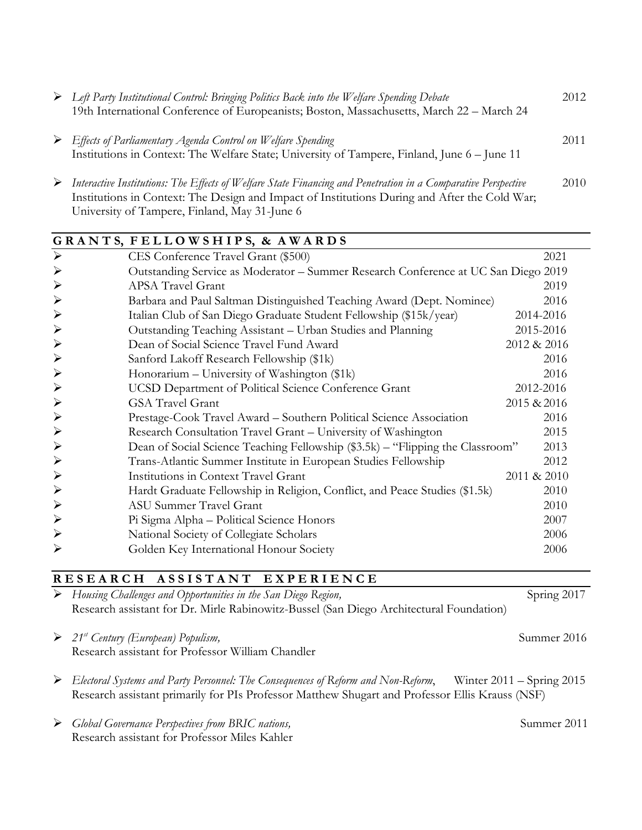| Eleft Party Institutional Control: Bringing Politics Back into the Welfare Spending Debate<br>19th International Conference of Europeanists; Boston, Massachusetts, March 22 – March 24                                                                         | 2012 |
|-----------------------------------------------------------------------------------------------------------------------------------------------------------------------------------------------------------------------------------------------------------------|------|
| $\triangleright$ Effects of Parliamentary Agenda Control on Welfare Spending<br>Institutions in Context: The Welfare State; University of Tampere, Finland, June 6 – June 11                                                                                    | 2011 |
| Interactive Institutions: The Effects of Welfare State Financing and Penetration in a Comparative Perspective<br>Institutions in Context: The Design and Impact of Institutions During and After the Cold War;<br>University of Tampere, Finland, May 31-June 6 | 2010 |

|                       | GRANTS, FELLOWSHIPS, & AWARDS                                                      |             |
|-----------------------|------------------------------------------------------------------------------------|-------------|
| $\blacktriangleright$ | CES Conference Travel Grant (\$500)                                                | 2021        |
| $\blacktriangleright$ | Outstanding Service as Moderator – Summer Research Conference at UC San Diego 2019 |             |
| $\blacktriangleright$ | <b>APSA Travel Grant</b>                                                           | 2019        |
| $\blacktriangleright$ | Barbara and Paul Saltman Distinguished Teaching Award (Dept. Nominee)              | 2016        |
| $\blacktriangleright$ | Italian Club of San Diego Graduate Student Fellowship (\$15k/year)                 | 2014-2016   |
| $\blacktriangleright$ | Outstanding Teaching Assistant - Urban Studies and Planning                        | 2015-2016   |
| $\blacktriangleright$ | Dean of Social Science Travel Fund Award                                           | 2012 & 2016 |
| $\blacktriangleright$ | Sanford Lakoff Research Fellowship (\$1k)                                          | 2016        |
| $\blacktriangleright$ | Honorarium – University of Washington (\$1k)                                       | 2016        |
| $\blacktriangleright$ | UCSD Department of Political Science Conference Grant                              | 2012-2016   |
| $\blacktriangleright$ | <b>GSA Travel Grant</b>                                                            | 2015 & 2016 |
| $\blacktriangleright$ | Prestage-Cook Travel Award - Southern Political Science Association                | 2016        |
| $\blacktriangleright$ | Research Consultation Travel Grant - University of Washington                      | 2015        |
| $\blacktriangleright$ | Dean of Social Science Teaching Fellowship (\$3.5k) – "Flipping the Classroom"     | 2013        |
| $\blacktriangleright$ | Trans-Atlantic Summer Institute in European Studies Fellowship                     | 2012        |
| $\blacktriangleright$ | Institutions in Context Travel Grant                                               | 2011 & 2010 |
| $\blacktriangleright$ | Hardt Graduate Fellowship in Religion, Conflict, and Peace Studies (\$1.5k)        | 2010        |
| $\blacktriangleright$ | <b>ASU Summer Travel Grant</b>                                                     | 2010        |
| $\blacktriangleright$ | Pi Sigma Alpha - Political Science Honors                                          | 2007        |
| $\blacktriangleright$ | National Society of Collegiate Scholars                                            | 2006        |
|                       | Golden Key International Honour Society                                            | 2006        |

## **R E S E A R C H A S S I S T A N T E X P E R I E N C E**

➢ *Housing Challenges and Opportunities in the San Diego Region,* Spring 2017 Research assistant for Dr. Mirle Rabinowitz-Bussel (San Diego Architectural Foundation)

- ➢ *21st Century (European) Populism,* Summer 2016 Research assistant for Professor William Chandler
- ➢ *Electoral Systems and Party Personnel: The Consequences of Reform and Non-Reform*, Winter 2011 Spring 2015 Research assistant primarily for PIs Professor Matthew Shugart and Professor Ellis Krauss (NSF)
- ➢ *Global Governance Perspectives from BRIC nations,* Summer 2011 Research assistant for Professor Miles Kahler

- 
-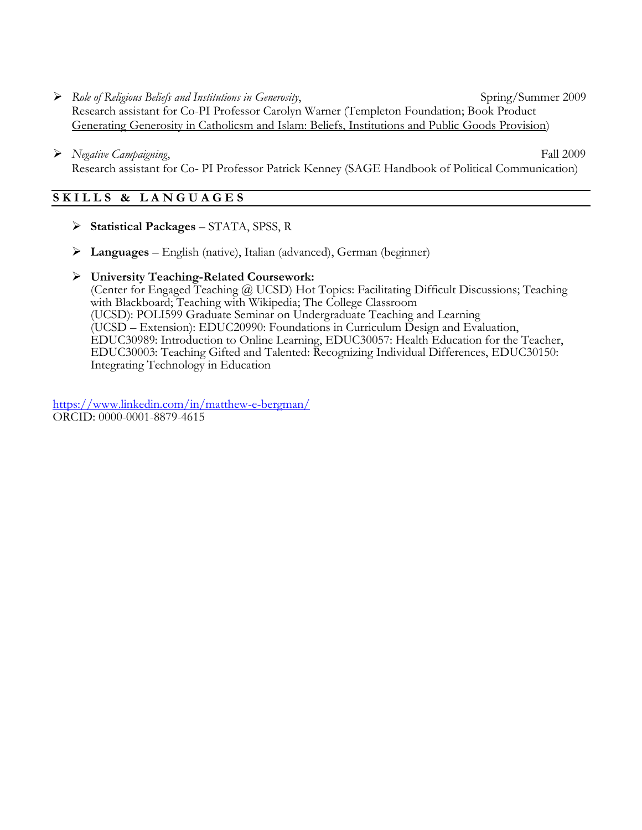- ➢ *Role of Religious Beliefs and Institutions in Generosity*, Spring/Summer 2009 Research assistant for Co-PI Professor Carolyn Warner (Templeton Foundation; Book Product Generating Generosity in Catholicsm and Islam: Beliefs, Institutions and Public Goods Provision)
- ➢ *Negative Campaigning*, Fall 2009 Research assistant for Co- PI Professor Patrick Kenney (SAGE Handbook of Political Communication)

### **S K I L L S & L A N G U A G E S**

- ➢ **Statistical Packages** STATA, SPSS, R
- ➢ **Languages** English (native), Italian (advanced), German (beginner)
- ➢ **University Teaching-Related Coursework:**

(Center for Engaged Teaching @ UCSD) Hot Topics: Facilitating Difficult Discussions; Teaching with Blackboard; Teaching with Wikipedia; The College Classroom (UCSD): POLI599 Graduate Seminar on Undergraduate Teaching and Learning (UCSD – Extension): EDUC20990: Foundations in Curriculum Design and Evaluation, EDUC30989: Introduction to Online Learning, EDUC30057: Health Education for the Teacher, EDUC30003: Teaching Gifted and Talented: Recognizing Individual Differences, EDUC30150: Integrating Technology in Education

<https://www.linkedin.com/in/matthew-e-bergman/> ORCID: 0000-0001-8879-4615